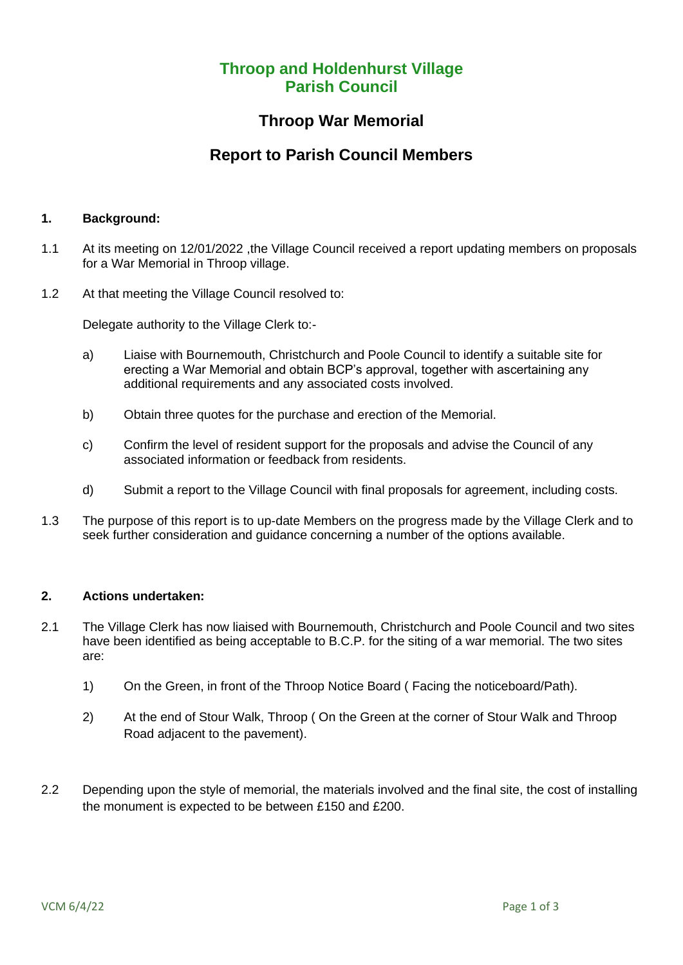# **Throop and Holdenhurst Village Parish Council**

### **Throop War Memorial**

# **Report to Parish Council Members**

#### **1. Background:**

- 1.1 At its meeting on 12/01/2022 ,the Village Council received a report updating members on proposals for a War Memorial in Throop village.
- 1.2 At that meeting the Village Council resolved to:

Delegate authority to the Village Clerk to:-

- a) Liaise with Bournemouth, Christchurch and Poole Council to identify a suitable site for erecting a War Memorial and obtain BCP's approval, together with ascertaining any additional requirements and any associated costs involved.
- b) Obtain three quotes for the purchase and erection of the Memorial.
- c) Confirm the level of resident support for the proposals and advise the Council of any associated information or feedback from residents.
- d) Submit a report to the Village Council with final proposals for agreement, including costs.
- 1.3 The purpose of this report is to up-date Members on the progress made by the Village Clerk and to seek further consideration and guidance concerning a number of the options available.

### **2. Actions undertaken:**

- 2.1 The Village Clerk has now liaised with Bournemouth, Christchurch and Poole Council and two sites have been identified as being acceptable to B.C.P. for the siting of a war memorial. The two sites are:
	- 1) On the Green, in front of the Throop Notice Board ( Facing the noticeboard/Path).
	- 2) At the end of Stour Walk, Throop ( On the Green at the corner of Stour Walk and Throop Road adjacent to the pavement).
- 2.2 Depending upon the style of memorial, the materials involved and the final site, the cost of installing the monument is expected to be between £150 and £200.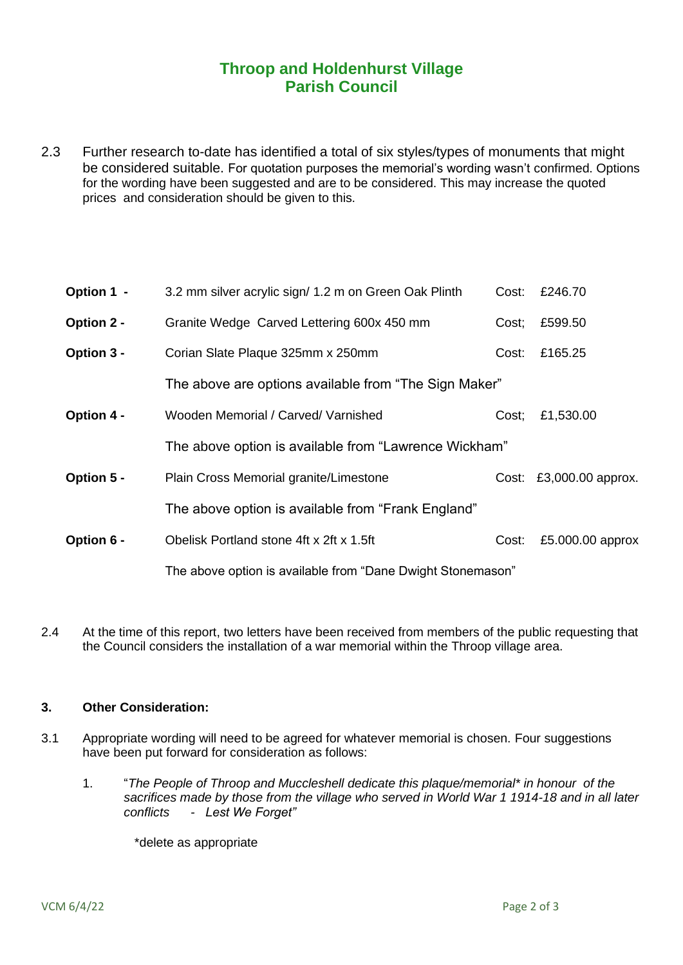# **Throop and Holdenhurst Village Parish Council**

2.3 Further research to-date has identified a total of six styles/types of monuments that might be considered suitable. For quotation purposes the memorial's wording wasn't confirmed. Options for the wording have been suggested and are to be considered. This may increase the quoted prices and consideration should be given to this.

| Option 1 - | 3.2 mm silver acrylic sign/ 1.2 m on Green Oak Plinth       | Cost: | £246.70                 |
|------------|-------------------------------------------------------------|-------|-------------------------|
| Option 2 - | Granite Wedge Carved Lettering 600x 450 mm                  | Cost; | £599.50                 |
| Option 3 - | Corian Slate Plaque 325mm x 250mm                           | Cost: | £165.25                 |
|            | The above are options available from "The Sign Maker"       |       |                         |
| Option 4 - | Wooden Memorial / Carved/ Varnished                         | Cost; | £1,530.00               |
|            | The above option is available from "Lawrence Wickham"       |       |                         |
| Option 5 - | Plain Cross Memorial granite/Limestone                      |       | Cost: £3,000.00 approx. |
|            | The above option is available from "Frank England"          |       |                         |
| Option 6 - | Obelisk Portland stone 4ft x 2ft x 1.5ft                    | Cost: | £5.000.00 approx        |
|            | The above option is available from "Dane Dwight Stonemason" |       |                         |

2.4 At the time of this report, two letters have been received from members of the public requesting that the Council considers the installation of a war memorial within the Throop village area.

### **3. Other Consideration:**

- 3.1 Appropriate wording will need to be agreed for whatever memorial is chosen. Four suggestions have been put forward for consideration as follows:
	- 1. "*The People of Throop and Muccleshell dedicate this plaque/memorial\* in honour of the sacrifices made by those from the village who served in World War 1 1914-18 and in all later conflicts - Lest We Forget"*

\*delete as appropriate